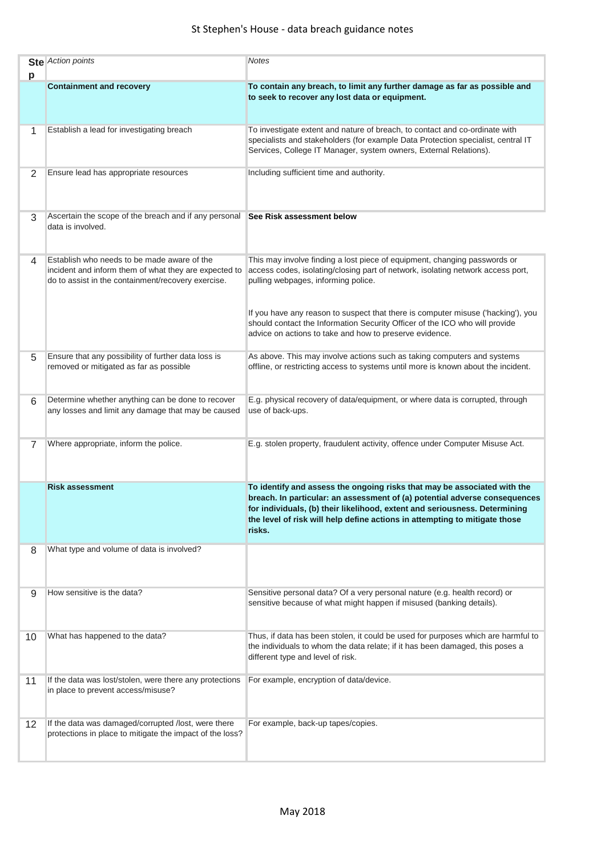| р  | <b>Ste</b> Action points                                                                                                                                   | <b>Notes</b>                                                                                                                                                                                                                                                                                                                 |
|----|------------------------------------------------------------------------------------------------------------------------------------------------------------|------------------------------------------------------------------------------------------------------------------------------------------------------------------------------------------------------------------------------------------------------------------------------------------------------------------------------|
|    | <b>Containment and recovery</b>                                                                                                                            | To contain any breach, to limit any further damage as far as possible and<br>to seek to recover any lost data or equipment.                                                                                                                                                                                                  |
| 1  | Establish a lead for investigating breach                                                                                                                  | To investigate extent and nature of breach, to contact and co-ordinate with<br>specialists and stakeholders (for example Data Protection specialist, central IT<br>Services, College IT Manager, system owners, External Relations).                                                                                         |
| 2  | Ensure lead has appropriate resources                                                                                                                      | Including sufficient time and authority.                                                                                                                                                                                                                                                                                     |
| 3  | Ascertain the scope of the breach and if any personal<br>data is involved.                                                                                 | See Risk assessment below                                                                                                                                                                                                                                                                                                    |
| 4  | Establish who needs to be made aware of the<br>incident and inform them of what they are expected to<br>do to assist in the containment/recovery exercise. | This may involve finding a lost piece of equipment, changing passwords or<br>access codes, isolating/closing part of network, isolating network access port,<br>pulling webpages, informing police.                                                                                                                          |
|    |                                                                                                                                                            | If you have any reason to suspect that there is computer misuse ('hacking'), you<br>should contact the Information Security Officer of the ICO who will provide<br>advice on actions to take and how to preserve evidence.                                                                                                   |
| 5  | Ensure that any possibility of further data loss is<br>removed or mitigated as far as possible                                                             | As above. This may involve actions such as taking computers and systems<br>offline, or restricting access to systems until more is known about the incident.                                                                                                                                                                 |
| 6  | Determine whether anything can be done to recover<br>any losses and limit any damage that may be caused                                                    | E.g. physical recovery of data/equipment, or where data is corrupted, through<br>use of back-ups.                                                                                                                                                                                                                            |
| 7  | Where appropriate, inform the police.                                                                                                                      | E.g. stolen property, fraudulent activity, offence under Computer Misuse Act.                                                                                                                                                                                                                                                |
|    | <b>Risk assessment</b>                                                                                                                                     | To identify and assess the ongoing risks that may be associated with the<br>breach. In particular: an assessment of (a) potential adverse consequences<br>for individuals, (b) their likelihood, extent and seriousness. Determining<br>the level of risk will help define actions in attempting to mitigate those<br>risks. |
| 8  | What type and volume of data is involved?                                                                                                                  |                                                                                                                                                                                                                                                                                                                              |
| 9  | How sensitive is the data?                                                                                                                                 | Sensitive personal data? Of a very personal nature (e.g. health record) or<br>sensitive because of what might happen if misused (banking details).                                                                                                                                                                           |
| 10 | What has happened to the data?                                                                                                                             | Thus, if data has been stolen, it could be used for purposes which are harmful to<br>the individuals to whom the data relate; if it has been damaged, this poses a<br>different type and level of risk.                                                                                                                      |
| 11 | If the data was lost/stolen, were there any protections<br>in place to prevent access/misuse?                                                              | For example, encryption of data/device.                                                                                                                                                                                                                                                                                      |
| 12 | If the data was damaged/corrupted /lost, were there<br>protections in place to mitigate the impact of the loss?                                            | For example, back-up tapes/copies.                                                                                                                                                                                                                                                                                           |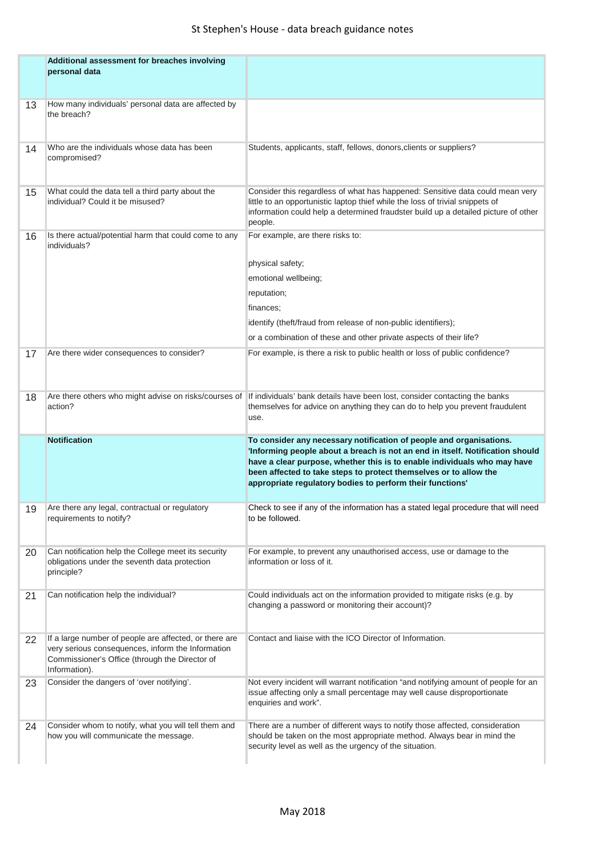|    | Additional assessment for breaches involving<br>personal data                                                                                                                  |                                                                                                                                                                                                                                                                                                                                                                    |
|----|--------------------------------------------------------------------------------------------------------------------------------------------------------------------------------|--------------------------------------------------------------------------------------------------------------------------------------------------------------------------------------------------------------------------------------------------------------------------------------------------------------------------------------------------------------------|
| 13 | How many individuals' personal data are affected by<br>the breach?                                                                                                             |                                                                                                                                                                                                                                                                                                                                                                    |
| 14 | Who are the individuals whose data has been<br>compromised?                                                                                                                    | Students, applicants, staff, fellows, donors, clients or suppliers?                                                                                                                                                                                                                                                                                                |
| 15 | What could the data tell a third party about the<br>individual? Could it be misused?                                                                                           | Consider this regardless of what has happened: Sensitive data could mean very<br>little to an opportunistic laptop thief while the loss of trivial snippets of<br>information could help a determined fraudster build up a detailed picture of other<br>people.                                                                                                    |
| 16 | Is there actual/potential harm that could come to any<br>individuals?                                                                                                          | For example, are there risks to:<br>physical safety;<br>emotional wellbeing;<br>reputation;<br>finances;<br>identify (theft/fraud from release of non-public identifiers);<br>or a combination of these and other private aspects of their life?                                                                                                                   |
| 17 | Are there wider consequences to consider?                                                                                                                                      | For example, is there a risk to public health or loss of public confidence?                                                                                                                                                                                                                                                                                        |
| 18 | Are there others who might advise on risks/courses of<br>action?                                                                                                               | If individuals' bank details have been lost, consider contacting the banks<br>themselves for advice on anything they can do to help you prevent fraudulent<br>use.                                                                                                                                                                                                 |
|    | <b>Notification</b>                                                                                                                                                            | To consider any necessary notification of people and organisations.<br>'Informing people about a breach is not an end in itself. Notification should<br>have a clear purpose, whether this is to enable individuals who may have<br>been affected to take steps to protect themselves or to allow the<br>appropriate regulatory bodies to perform their functions' |
| 19 | Are there any legal, contractual or regulatory<br>requirements to notify?                                                                                                      | Check to see if any of the information has a stated legal procedure that will need<br>to be followed.                                                                                                                                                                                                                                                              |
| 20 | Can notification help the College meet its security<br>obligations under the seventh data protection<br>principle?                                                             | For example, to prevent any unauthorised access, use or damage to the<br>information or loss of it.                                                                                                                                                                                                                                                                |
| 21 | Can notification help the individual?                                                                                                                                          | Could individuals act on the information provided to mitigate risks (e.g. by<br>changing a password or monitoring their account)?                                                                                                                                                                                                                                  |
| 22 | If a large number of people are affected, or there are<br>very serious consequences, inform the Information<br>Commissioner's Office (through the Director of<br>Information). | Contact and liaise with the ICO Director of Information.                                                                                                                                                                                                                                                                                                           |
| 23 | Consider the dangers of 'over notifying'.                                                                                                                                      | Not every incident will warrant notification "and notifying amount of people for an<br>issue affecting only a small percentage may well cause disproportionate<br>enquiries and work".                                                                                                                                                                             |
| 24 | Consider whom to notify, what you will tell them and<br>how you will communicate the message.                                                                                  | There are a number of different ways to notify those affected, consideration<br>should be taken on the most appropriate method. Always bear in mind the<br>security level as well as the urgency of the situation.                                                                                                                                                 |